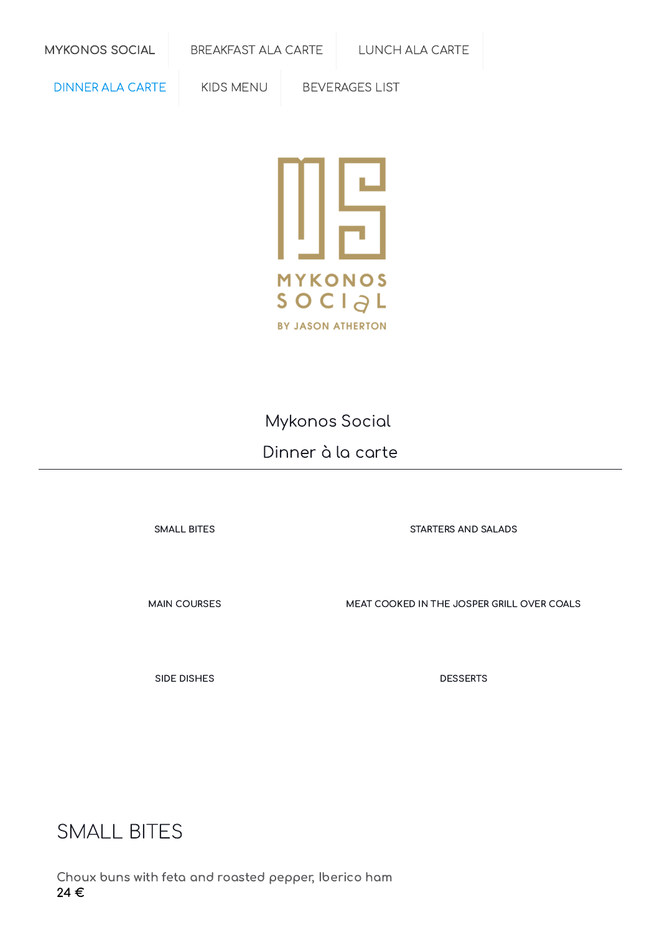[MYKONOS](https://online-menus.com/mykonos-social/) SOCIAL [BREAKFAST](https://online-menus.com/mykonos-social-breakfast/) ALA CARTE [LUNCH](https://online-menus.com/mykonos-social-lunch/) ALA CARTE

[DINNER](https://online-menus.com/mykonos-social-dinner-carte/) ALA CARTE KIDS [MENU](https://online-menus.com/mykonos-social-kid-menu/) [BEVERAGES](https://online-menus.com/mykonos-social-beverages-list-a/) LIST



Mykonos Social Dinner à la carte

[SMALL](#page-0-0) BITES [STARTERS](#page-1-0) AND SALADS

MAIN [COURSES](#page-2-0) MEAT COOKED IN THE JOSPER GRILL OVER COALS

SIDE [DISHES](#page-3-0) DESSERTS

<span id="page-0-0"></span>SMALL BITES

Choux buns with feta and roasted pepper, Iberico ham 24 €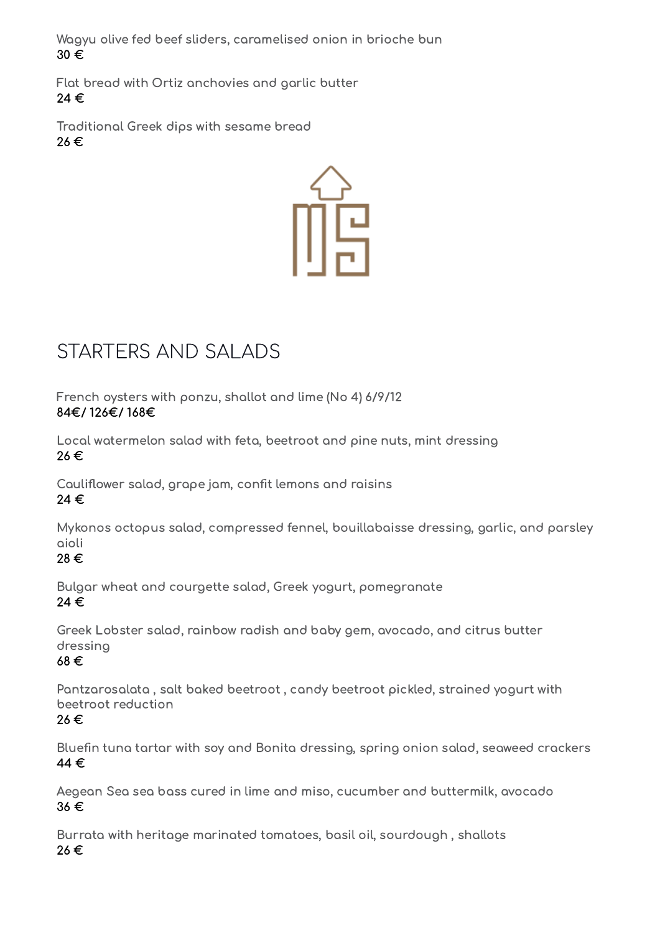Wagyu olive fed beef sliders, caramelised onion in brioche bun 30 €

Flat bread with Ortiz anchovies and garlic butter 24 €

Traditional Greek dips with sesame bread 26 €



# <span id="page-1-0"></span>STARTERS AND SALADS

French oysters with ponzu, shallot and lime (No 4) 6/9/12 84€/ 126€/ 168€

Local watermelon salad with feta, beetroot and pine nuts, mint dressing 26 €

Cauliflower salad, grape jam, confit lemons and raisins 24 €

Mykonos octopus salad, compressed fennel, bouillabaisse dressing, garlic, and parsley aioli

28 €

Bulgar wheat and courgette salad, Greek yogurt, pomegranate 24 €

Greek Lobster salad, rainbow radish and baby gem, avocado, and citrus butter dressing

#### 68 €

Pantzarosalata , salt baked beetroot , candy beetroot pickled, strained yogurt with beetroot reduction

26 €

Bluefin tuna tartar with soy and Bonita dressing, spring onion salad, seaweed crackers 44 €

Aegean Sea sea bass cured in lime and miso, cucumber and buttermilk, avocado 36 €

Burrata with heritage marinated tomatoes, basil oil, sourdough , shallots 26 €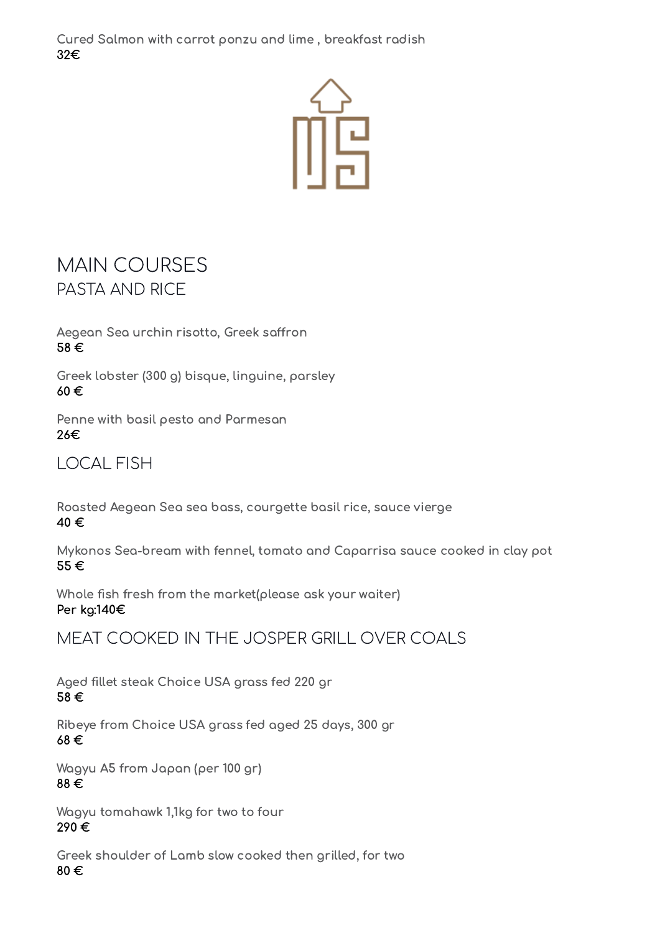Cured Salmon with carrot ponzu and lime , breakfast radish 32€



### <span id="page-2-0"></span>MAIN COURSES PASTA AND RICE

Aegean Sea urchin risotto, Greek saffron 58 €

Greek lobster (300 g) bisque, linguine, parsley 60 €

Penne with basil pesto and Parmesan 26€

LOCAL FISH

Roasted Aegean Sea sea bass, courgette basil rice, sauce vierge 40 €

Mykonos Sea-bream with fennel, tomato and Caparrisa sauce cooked in clay pot 55 €

Whole fish fresh from the market(please ask your waiter) Per kg:140€

MEAT COOKED IN THE JOSPER GRILL OVER COALS

Aged fillet steak Choice USA grass fed 220 gr 58 €

Ribeye from Choice USA grass fed aged 25 days, 300 gr 68 €

Wagyu A5 from Japan (per 100 gr) 88 €

Wagyu tomahawk 1,1kg for two to four 290 €

Greek shoulder of Lamb slow cooked then grilled, for two 80 €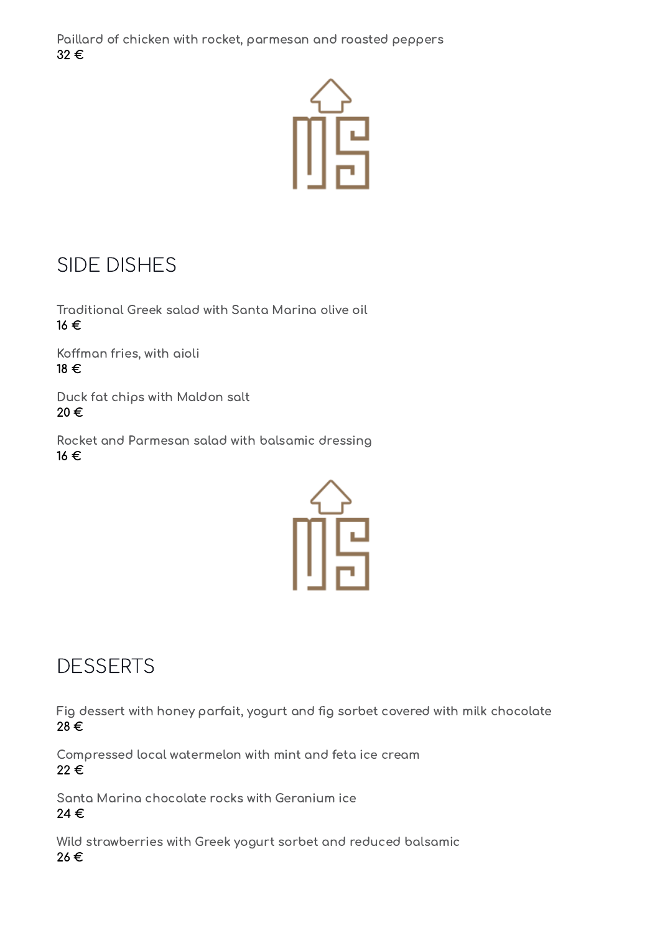Paillard of chicken with rocket, parmesan and roasted peppers 32 €



## <span id="page-3-0"></span>SIDE DISHES

Traditional Greek salad with Santa Marina olive oil 16 €

Koffman fries, with aioli 18 €

Duck fat chips with Maldon salt 20 €

Rocket and Parmesan salad with balsamic dressing 16 €



## **DESSERTS**

Fig dessert with honey parfait, yogurt and fig sorbet covered with milk chocolate 28 €

Compressed local watermelon with mint and feta ice cream 22 €

Santa Marina chocolate rocks with Geranium ice 24 €

Wild strawberries with Greek yogurt sorbet and reduced balsamic 26 €